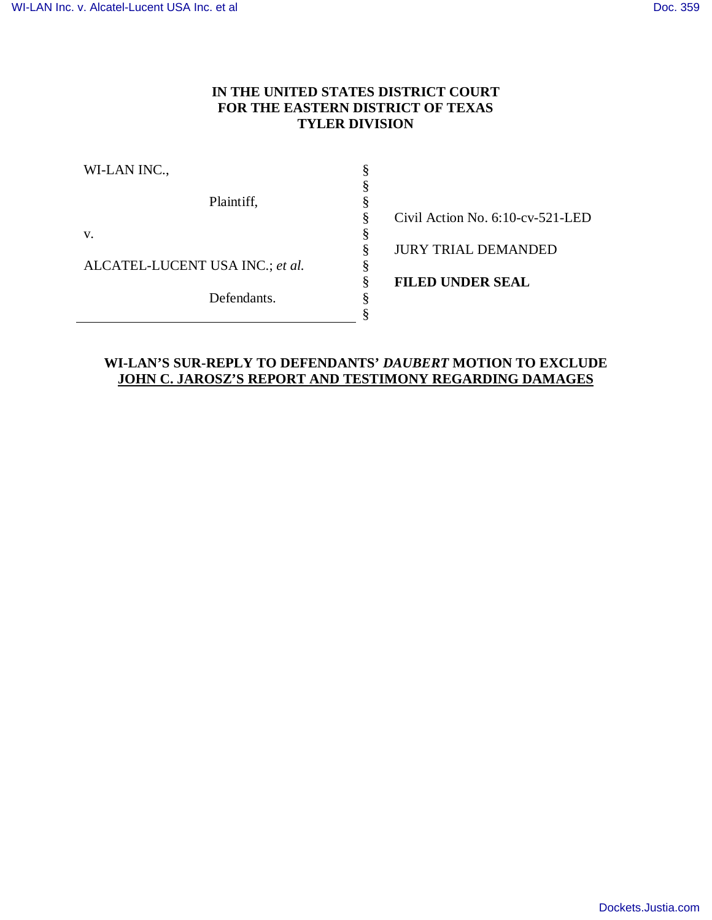# **IN THE UNITED STATES DISTRICT COURT FOR THE EASTERN DISTRICT OF TEXAS TYLER DIVISION**

| WI-LAN INC.,                    |                                     |
|---------------------------------|-------------------------------------|
|                                 |                                     |
| Plaintiff,                      |                                     |
|                                 | Civil Action No. $6:10$ -cv-521-LED |
| V.                              |                                     |
|                                 | <b>JURY TRIAL DEMANDED</b>          |
| ALCATEL-LUCENT USA INC.; et al. |                                     |
|                                 | <b>FILED UNDER SEAL</b>             |
| Defendants.                     |                                     |
|                                 |                                     |
|                                 |                                     |

# **WI-LAN'S SUR-REPLY TO DEFENDANTS'** *DAUBERT* **MOTION TO EXCLUDE JOHN C. JAROSZ'S REPORT AND TESTIMONY REGARDING DAMAGES**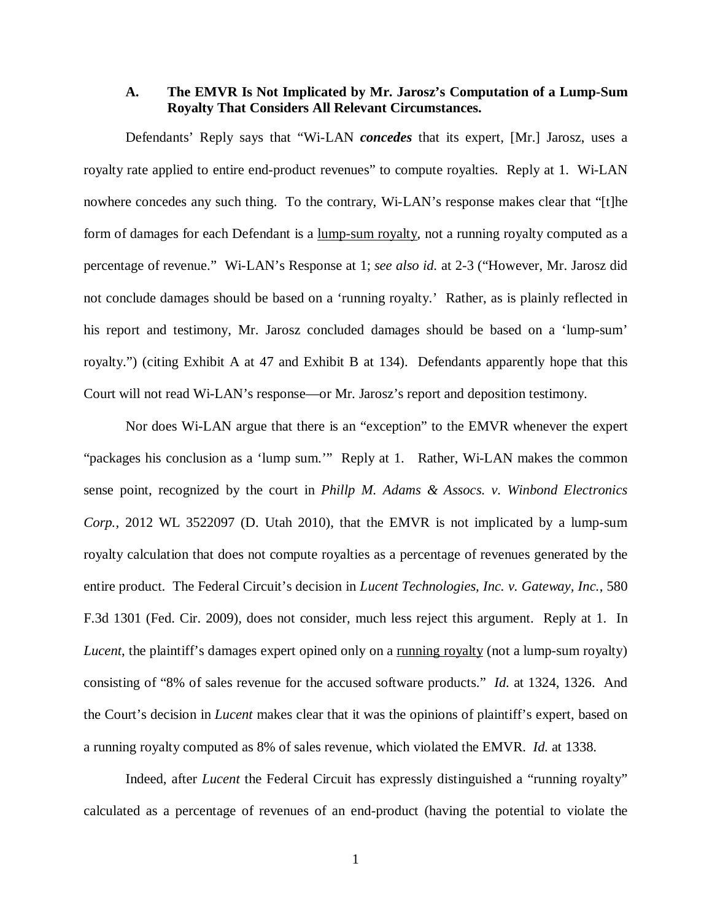### **A. The EMVR Is Not Implicated by Mr. Jarosz's Computation of a Lump-Sum Royalty That Considers All Relevant Circumstances.**

Defendants' Reply says that "Wi-LAN *concedes* that its expert, [Mr.] Jarosz, uses a royalty rate applied to entire end-product revenues" to compute royalties. Reply at 1. Wi-LAN nowhere concedes any such thing. To the contrary, Wi-LAN's response makes clear that "[t]he form of damages for each Defendant is a lump-sum royalty, not a running royalty computed as a percentage of revenue." Wi-LAN's Response at 1; *see also id.* at 2-3 ("However, Mr. Jarosz did not conclude damages should be based on a 'running royalty.' Rather, as is plainly reflected in his report and testimony, Mr. Jarosz concluded damages should be based on a 'lump-sum' royalty.") (citing Exhibit A at 47 and Exhibit B at 134). Defendants apparently hope that this Court will not read Wi-LAN's response—or Mr. Jarosz's report and deposition testimony.

Nor does Wi-LAN argue that there is an "exception" to the EMVR whenever the expert "packages his conclusion as a 'lump sum.'" Reply at 1. Rather, Wi-LAN makes the common sense point, recognized by the court in *Phillp M. Adams & Assocs. v. Winbond Electronics Corp.*, 2012 WL 3522097 (D. Utah 2010), that the EMVR is not implicated by a lump-sum royalty calculation that does not compute royalties as a percentage of revenues generated by the entire product. The Federal Circuit's decision in *Lucent Technologies, Inc. v. Gateway, Inc.*, 580 F.3d 1301 (Fed. Cir. 2009), does not consider, much less reject this argument. Reply at 1. In *Lucent*, the plaintiff's damages expert opined only on a <u>running royalty</u> (not a lump-sum royalty) consisting of "8% of sales revenue for the accused software products." *Id.* at 1324, 1326. And the Court's decision in *Lucent* makes clear that it was the opinions of plaintiff's expert, based on a running royalty computed as 8% of sales revenue, which violated the EMVR. *Id.* at 1338.

Indeed, after *Lucent* the Federal Circuit has expressly distinguished a "running royalty" calculated as a percentage of revenues of an end-product (having the potential to violate the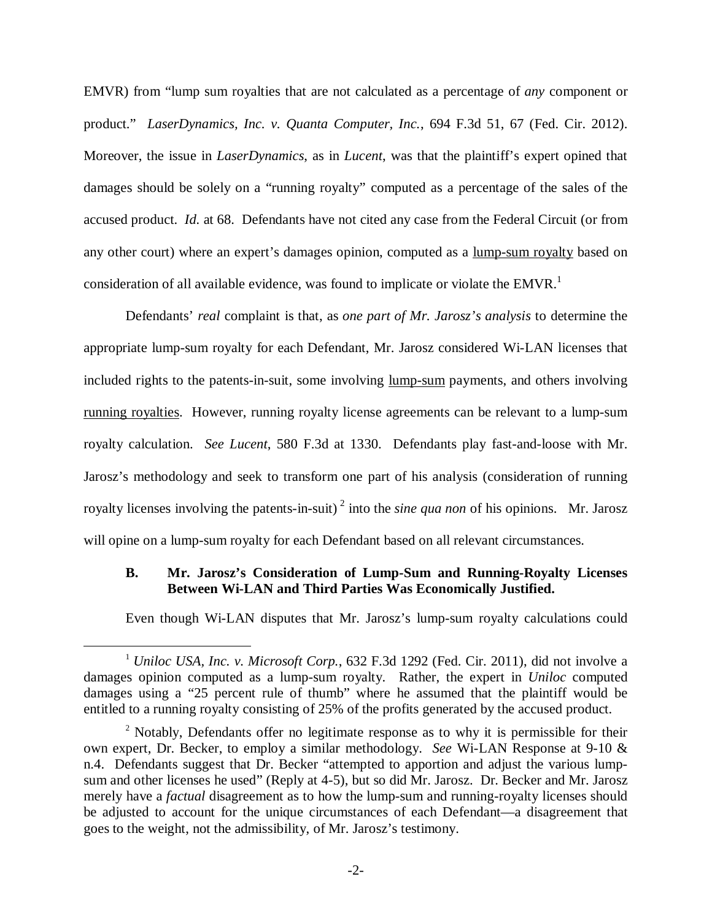EMVR) from "lump sum royalties that are not calculated as a percentage of *any* component or product." *LaserDynamics, Inc. v. Quanta Computer, Inc.*, 694 F.3d 51, 67 (Fed. Cir. 2012). Moreover, the issue in *LaserDynamics*, as in *Lucent*, was that the plaintiff's expert opined that damages should be solely on a "running royalty" computed as a percentage of the sales of the accused product. *Id.* at 68. Defendants have not cited any case from the Federal Circuit (or from any other court) where an expert's damages opinion, computed as a lump-sum royalty based on consideration of all available evidence, was found to implicate or violate the EMVR.<sup>1</sup>

Defendants' *real* complaint is that, as *one part of Mr. Jarosz's analysis* to determine the appropriate lump-sum royalty for each Defendant, Mr. Jarosz considered Wi-LAN licenses that included rights to the patents-in-suit, some involving lump-sum payments, and others involving running royalties. However, running royalty license agreements can be relevant to a lump-sum royalty calculation. *See Lucent*, 580 F.3d at 1330. Defendants play fast-and-loose with Mr. Jarosz's methodology and seek to transform one part of his analysis (consideration of running royalty licenses involving the patents-in-suit)<sup>2</sup> into the *sine qua non* of his opinions. Mr. Jarosz will opine on a lump-sum royalty for each Defendant based on all relevant circumstances.

## **B. Mr. Jarosz's Consideration of Lump-Sum and Running-Royalty Licenses Between Wi-LAN and Third Parties Was Economically Justified.**

Even though Wi-LAN disputes that Mr. Jarosz's lump-sum royalty calculations could

<u>.</u>

<sup>1</sup> *Uniloc USA, Inc. v. Microsoft Corp.*, 632 F.3d 1292 (Fed. Cir. 2011), did not involve a damages opinion computed as a lump-sum royalty. Rather, the expert in *Uniloc* computed damages using a "25 percent rule of thumb" where he assumed that the plaintiff would be entitled to a running royalty consisting of 25% of the profits generated by the accused product.

 $2$  Notably, Defendants offer no legitimate response as to why it is permissible for their own expert, Dr. Becker, to employ a similar methodology. *See* Wi-LAN Response at 9-10 & n.4. Defendants suggest that Dr. Becker "attempted to apportion and adjust the various lumpsum and other licenses he used" (Reply at 4-5), but so did Mr. Jarosz. Dr. Becker and Mr. Jarosz merely have a *factual* disagreement as to how the lump-sum and running-royalty licenses should be adjusted to account for the unique circumstances of each Defendant—a disagreement that goes to the weight, not the admissibility, of Mr. Jarosz's testimony.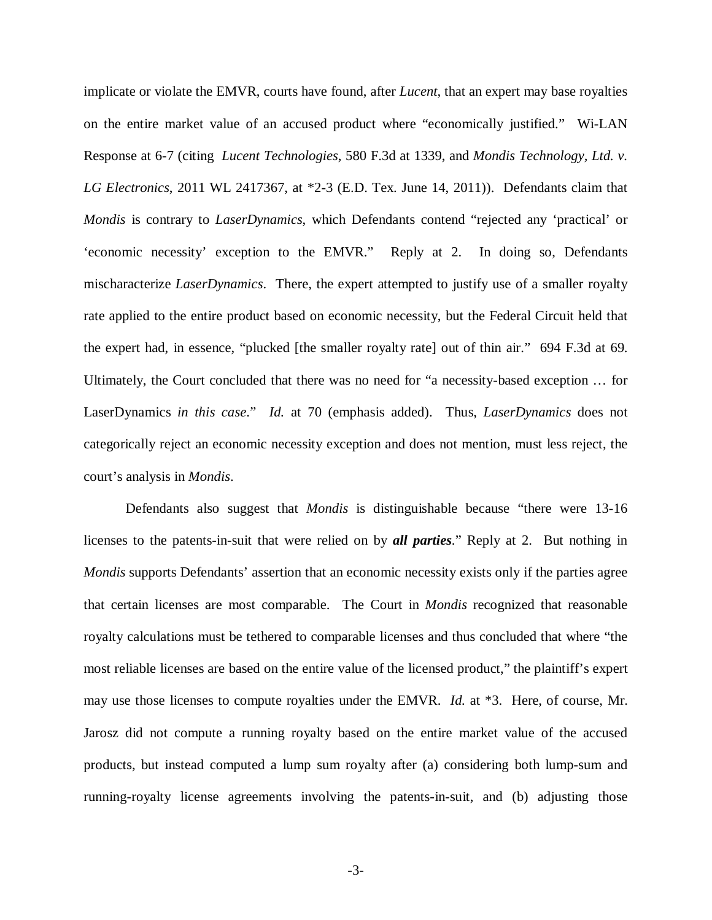implicate or violate the EMVR, courts have found, after *Lucent*, that an expert may base royalties on the entire market value of an accused product where "economically justified." Wi-LAN Response at 6-7 (citing *Lucent Technologies*, 580 F.3d at 1339, and *Mondis Technology, Ltd. v. LG Electronics*, 2011 WL 2417367, at \*2-3 (E.D. Tex. June 14, 2011)). Defendants claim that *Mondis* is contrary to *LaserDynamics*, which Defendants contend "rejected any 'practical' or 'economic necessity' exception to the EMVR." Reply at 2. In doing so, Defendants mischaracterize *LaserDynamics*. There, the expert attempted to justify use of a smaller royalty rate applied to the entire product based on economic necessity, but the Federal Circuit held that the expert had, in essence, "plucked [the smaller royalty rate] out of thin air." 694 F.3d at 69. Ultimately, the Court concluded that there was no need for "a necessity-based exception … for LaserDynamics *in this case*." *Id.* at 70 (emphasis added). Thus, *LaserDynamics* does not categorically reject an economic necessity exception and does not mention, must less reject, the court's analysis in *Mondis*.

Defendants also suggest that *Mondis* is distinguishable because "there were 13-16 licenses to the patents-in-suit that were relied on by *all parties*." Reply at 2. But nothing in *Mondis* supports Defendants' assertion that an economic necessity exists only if the parties agree that certain licenses are most comparable. The Court in *Mondis* recognized that reasonable royalty calculations must be tethered to comparable licenses and thus concluded that where "the most reliable licenses are based on the entire value of the licensed product," the plaintiff's expert may use those licenses to compute royalties under the EMVR. *Id.* at \*3. Here, of course, Mr. Jarosz did not compute a running royalty based on the entire market value of the accused products, but instead computed a lump sum royalty after (a) considering both lump-sum and running-royalty license agreements involving the patents-in-suit, and (b) adjusting those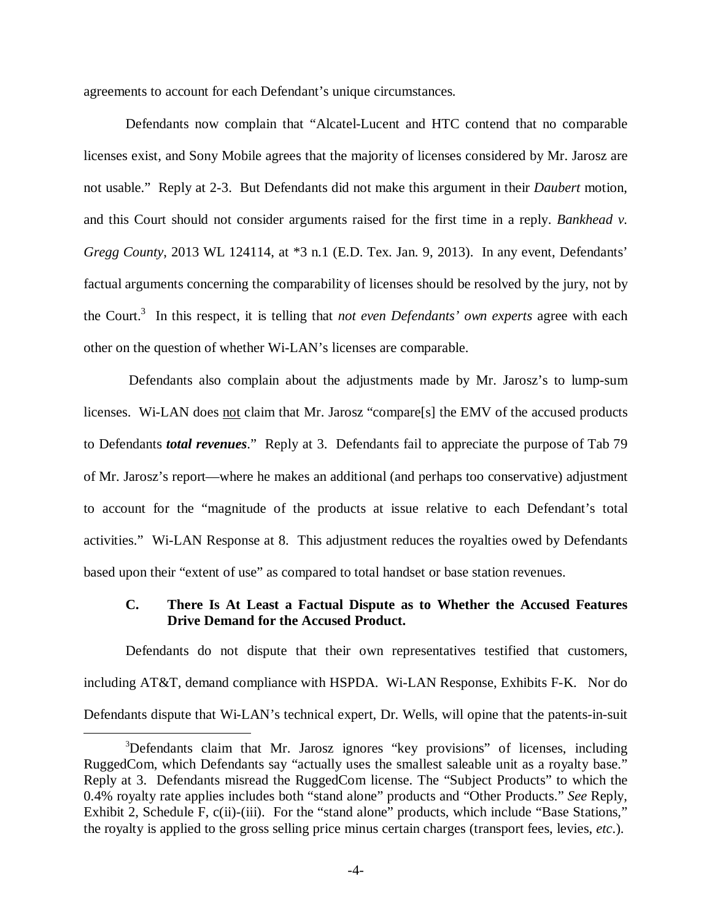agreements to account for each Defendant's unique circumstances*.*

Defendants now complain that "Alcatel-Lucent and HTC contend that no comparable licenses exist, and Sony Mobile agrees that the majority of licenses considered by Mr. Jarosz are not usable." Reply at 2-3. But Defendants did not make this argument in their *Daubert* motion, and this Court should not consider arguments raised for the first time in a reply. *Bankhead v. Gregg County*, 2013 WL 124114, at \*3 n.1 (E.D. Tex. Jan. 9, 2013). In any event, Defendants' factual arguments concerning the comparability of licenses should be resolved by the jury, not by the Court.<sup>3</sup> In this respect, it is telling that *not even Defendants' own experts* agree with each other on the question of whether Wi-LAN's licenses are comparable.

 Defendants also complain about the adjustments made by Mr. Jarosz's to lump-sum licenses. Wi-LAN does not claim that Mr. Jarosz "compare[s] the EMV of the accused products to Defendants *total revenues*." Reply at 3. Defendants fail to appreciate the purpose of Tab 79 of Mr. Jarosz's report—where he makes an additional (and perhaps too conservative) adjustment to account for the "magnitude of the products at issue relative to each Defendant's total activities." Wi-LAN Response at 8. This adjustment reduces the royalties owed by Defendants based upon their "extent of use" as compared to total handset or base station revenues.

### **C. There Is At Least a Factual Dispute as to Whether the Accused Features Drive Demand for the Accused Product.**

Defendants do not dispute that their own representatives testified that customers, including AT&T, demand compliance with HSPDA. Wi-LAN Response, Exhibits F-K. Nor do Defendants dispute that Wi-LAN's technical expert, Dr. Wells, will opine that the patents-in-suit

 $\overline{a}$ 

<sup>3</sup>Defendants claim that Mr. Jarosz ignores "key provisions" of licenses, including RuggedCom, which Defendants say "actually uses the smallest saleable unit as a royalty base." Reply at 3. Defendants misread the RuggedCom license. The "Subject Products" to which the 0.4% royalty rate applies includes both "stand alone" products and "Other Products." *See* Reply, Exhibit 2, Schedule F, c(ii)-(iii). For the "stand alone" products, which include "Base Stations," the royalty is applied to the gross selling price minus certain charges (transport fees, levies, *etc*.).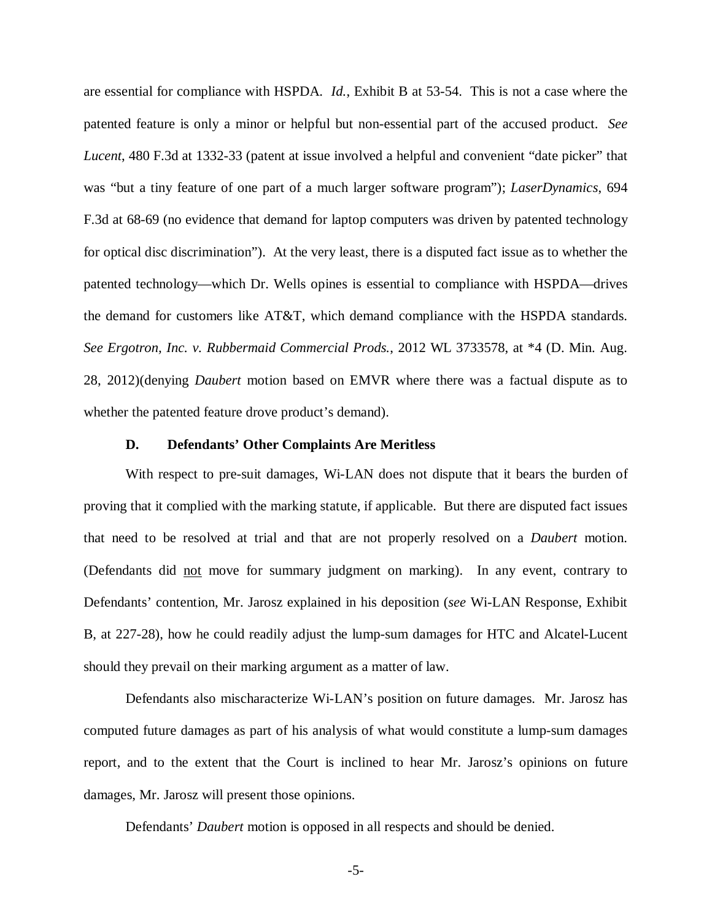are essential for compliance with HSPDA. *Id.*, Exhibit B at 53-54. This is not a case where the patented feature is only a minor or helpful but non-essential part of the accused product. *See Lucent*, 480 F.3d at 1332-33 (patent at issue involved a helpful and convenient "date picker" that was "but a tiny feature of one part of a much larger software program"); *LaserDynamics*, 694 F.3d at 68-69 (no evidence that demand for laptop computers was driven by patented technology for optical disc discrimination"). At the very least, there is a disputed fact issue as to whether the patented technology—which Dr. Wells opines is essential to compliance with HSPDA—drives the demand for customers like AT&T, which demand compliance with the HSPDA standards. *See Ergotron, Inc. v. Rubbermaid Commercial Prods.*, 2012 WL 3733578, at \*4 (D. Min. Aug. 28, 2012)(denying *Daubert* motion based on EMVR where there was a factual dispute as to whether the patented feature drove product's demand).

#### **D. Defendants' Other Complaints Are Meritless**

With respect to pre-suit damages, Wi-LAN does not dispute that it bears the burden of proving that it complied with the marking statute, if applicable. But there are disputed fact issues that need to be resolved at trial and that are not properly resolved on a *Daubert* motion. (Defendants did not move for summary judgment on marking). In any event, contrary to Defendants' contention, Mr. Jarosz explained in his deposition (*see* Wi-LAN Response, Exhibit B, at 227-28), how he could readily adjust the lump-sum damages for HTC and Alcatel-Lucent should they prevail on their marking argument as a matter of law.

Defendants also mischaracterize Wi-LAN's position on future damages. Mr. Jarosz has computed future damages as part of his analysis of what would constitute a lump-sum damages report, and to the extent that the Court is inclined to hear Mr. Jarosz's opinions on future damages, Mr. Jarosz will present those opinions.

Defendants' *Daubert* motion is opposed in all respects and should be denied.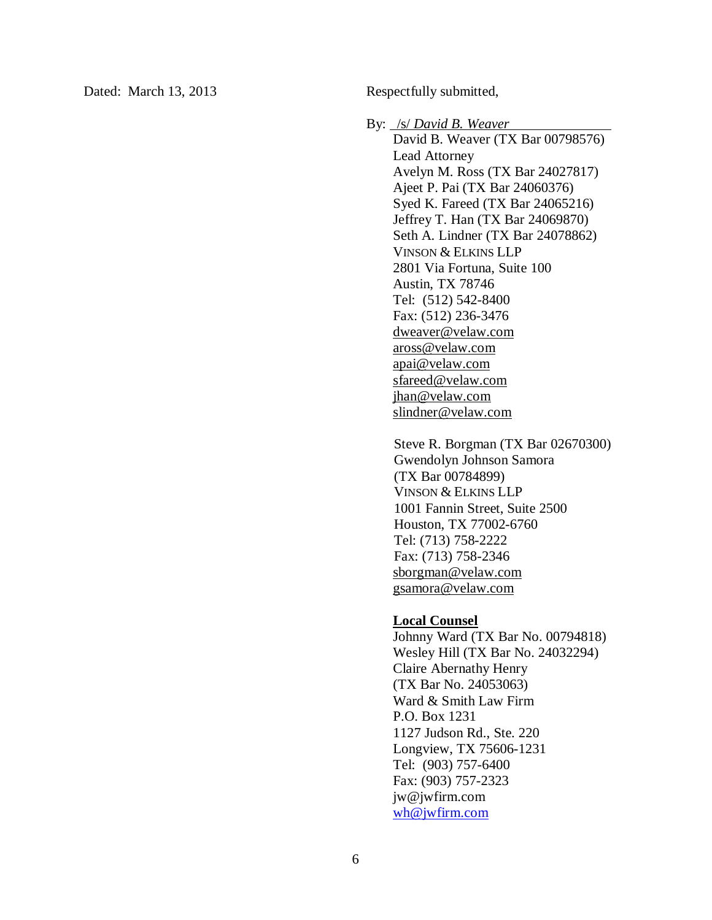Dated: March 13, 2013 Respectfully submitted,

By: /s/ *David B. Weaver* 

David B. Weaver (TX Bar 00798576) Lead Attorney Avelyn M. Ross (TX Bar 24027817) Ajeet P. Pai (TX Bar 24060376) Syed K. Fareed (TX Bar 24065216) Jeffrey T. Han (TX Bar 24069870) Seth A. Lindner (TX Bar 24078862) VINSON & ELKINS LLP 2801 Via Fortuna, Suite 100 Austin, TX 78746 Tel: (512) 542-8400 Fax: (512) 236-3476 dweaver@velaw.com aross@velaw.com apai@velaw.com sfareed@velaw.com jhan@velaw.com slindner@velaw.com

Steve R. Borgman (TX Bar 02670300) Gwendolyn Johnson Samora (TX Bar 00784899) VINSON & ELKINS LLP 1001 Fannin Street, Suite 2500 Houston, TX 77002-6760 Tel: (713) 758-2222 Fax: (713) 758-2346 sborgman@velaw.com gsamora@velaw.com

#### **Local Counsel**

Johnny Ward (TX Bar No. 00794818) Wesley Hill (TX Bar No. 24032294) Claire Abernathy Henry (TX Bar No. 24053063) Ward & Smith Law Firm P.O. Box 1231 1127 Judson Rd., Ste. 220 Longview, TX 75606-1231 Tel: (903) 757-6400 Fax: (903) 757-2323 jw@jwfirm.com wh@jwfirm.com